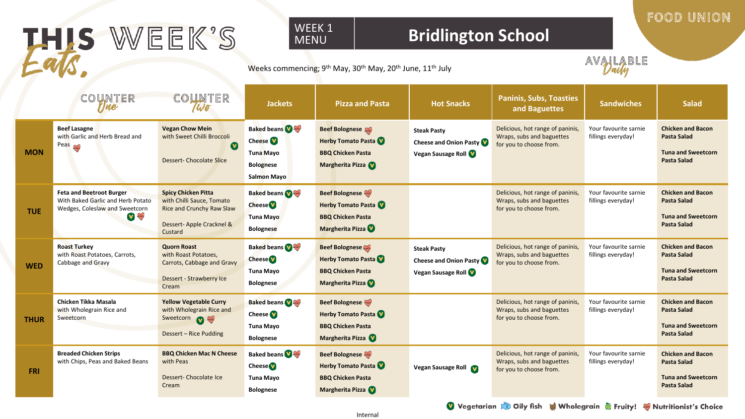## THIS WEEK'S

#### WEEK 1 MENU

### **Bridlington School**

Weeks commencing; 9<sup>th</sup> May, 30<sup>th</sup> May, 20<sup>th</sup> June, 11<sup>th</sup> July



FOOD UNION

|             | COUNTER<br>rjne                                                                                               | UNTER<br>Wo                                                                                                                        | <b>Jackets</b>                                                                               | <b>Pizza and Pasta</b>                                                                                      | <b>Hot Snacks</b>                                                         | <b>Paninis, Subs, Toasties</b><br>and Baguettes                                          | <b>Sandwiches</b>                           | <b>Salad</b>                                                                                      |
|-------------|---------------------------------------------------------------------------------------------------------------|------------------------------------------------------------------------------------------------------------------------------------|----------------------------------------------------------------------------------------------|-------------------------------------------------------------------------------------------------------------|---------------------------------------------------------------------------|------------------------------------------------------------------------------------------|---------------------------------------------|---------------------------------------------------------------------------------------------------|
| <b>MON</b>  | <b>Beef Lasagne</b><br>with Garlic and Herb Bread and<br>Peas www                                             | <b>Vegan Chow Mein</b><br>with Sweet Chilli Broccoli<br>$\mathbf v$<br><b>Dessert- Chocolate Slice</b>                             | <b>Baked beans</b><br>Cheese <b>V</b><br>Tuna Mayo<br><b>Bolognese</b><br><b>Salmon Mayo</b> | <b>Beef Bolognese</b><br><b>Herby Tomato Pasta V</b><br><b>BBQ Chicken Pasta</b><br><b>Margherita Pizza</b> | <b>Steak Pasty</b><br><b>Cheese and Onion Pasty</b><br>Vegan Sausage Roll | Delicious, hot range of paninis,<br>Wraps, subs and baguettes<br>for you to choose from. | Your favourite sarnie<br>fillings everyday! | <b>Chicken and Bacon</b><br><b>Pasta Salad</b><br><b>Tuna and Sweetcorn</b><br><b>Pasta Salad</b> |
| <b>TUE</b>  | <b>Feta and Beetroot Burger</b><br>With Baked Garlic and Herb Potato<br>Wedges, Coleslaw and Sweetcorn<br>V W | <b>Spicy Chicken Pitta</b><br>with Chilli Sauce, Tomato<br><b>Rice and Crunchy Raw Slaw</b><br>Dessert-Apple Cracknel &<br>Custard | <b>Baked beans</b><br><b>Cheese</b><br><b>Tuna Mayo</b><br><b>Bolognese</b>                  | <b>Beef Bolognese</b><br><b>Herby Tomato Pasta</b><br><b>BBQ Chicken Pasta</b><br>Margherita Pizza          |                                                                           | Delicious, hot range of paninis,<br>Wraps, subs and baguettes<br>for you to choose from. | Your favourite sarnie<br>fillings everyday! | <b>Chicken and Bacon</b><br><b>Pasta Salad</b><br><b>Tuna and Sweetcorn</b><br><b>Pasta Salad</b> |
| <b>WED</b>  | <b>Roast Turkey</b><br>with Roast Potatoes, Carrots,<br>Cabbage and Gravy                                     | <b>Quorn Roast</b><br>with Roast Potatoes,<br>Carrots, Cabbage and Gravy<br><b>Dessert - Strawberry Ice</b><br>Cream               | <b>Baked beans</b><br><b>Cheese</b><br><b>Tuna Mayo</b><br>Bolognese                         | <b>Beef Bolognese</b><br><b>Herby Tomato Pasta</b><br><b>BBQ Chicken Pasta</b><br><b>Margherita Pizza</b>   | <b>Steak Pasty</b><br><b>Cheese and Onion Pasty</b><br>Vegan Sausage Roll | Delicious, hot range of paninis,<br>Wraps, subs and baguettes<br>for you to choose from. | Your favourite sarnie<br>fillings everyday! | <b>Chicken and Bacon</b><br><b>Pasta Salad</b><br><b>Tuna and Sweetcorn</b><br><b>Pasta Salad</b> |
| <b>THUR</b> | Chicken Tikka Masala<br>with Wholegrain Rice and<br>Sweetcorn                                                 | <b>Yellow Vegetable Curry</b><br>with Wholegrain Rice and<br>Sweetcorn <b>M</b><br>Dessert - Rice Pudding                          | <b>Baked beans</b><br><b>Cheese</b><br><b>Tuna Mayo</b><br><b>Bolognese</b>                  | <b>Beef Bolognese</b><br><b>Herby Tomato Pasta</b><br><b>BBQ Chicken Pasta</b><br>Margherita Pizza          |                                                                           | Delicious, hot range of paninis,<br>Wraps, subs and baguettes<br>for you to choose from. | Your favourite sarnie<br>fillings everyday! | <b>Chicken and Bacon</b><br><b>Pasta Salad</b><br><b>Tuna and Sweetcorn</b><br><b>Pasta Salad</b> |
| <b>FRI</b>  | <b>Breaded Chicken Strips</b><br>with Chips, Peas and Baked Beans                                             | <b>BBQ Chicken Mac N Cheese</b><br>with Peas<br>Dessert-Chocolate Ice<br>Cream                                                     | <b>Baked beans</b><br><b>Cheese</b><br>Tuna Mayo<br><b>Bolognese</b>                         | Beef Bolognese<br>Herby Tomato Pasta<br><b>BBQ Chicken Pasta</b><br>Margherita Pizza                        | Vegan Sausage Roll                                                        | Delicious, hot range of paninis,<br>Wraps, subs and baguettes<br>for you to choose from. | Your favourite sarnie<br>fillings everyday! | <b>Chicken and Bacon</b><br><b>Pasta Salad</b><br><b>Tuna and Sweetcorn</b><br><b>Pasta Salad</b> |

Vegetarian & Oily fish & Wholegrain & Fruity! Whutritionist's Choice

Internal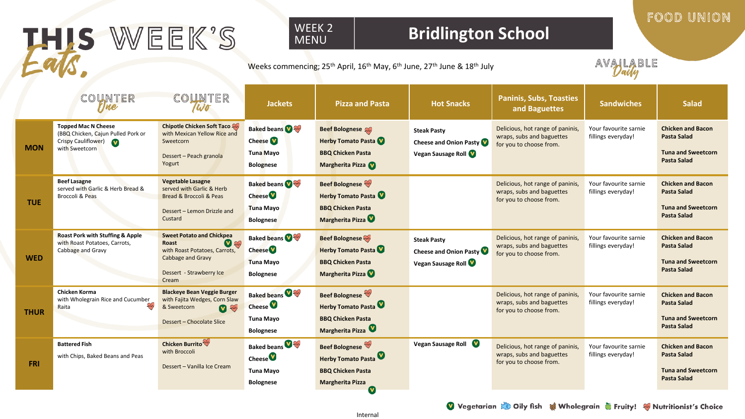# THIS WEEK'S

## WEEK 2

### WEEK 2 **Bridlington School**

Weeks commencing; 25<sup>th</sup> April, 16<sup>th</sup> May, 6<sup>th</sup> June, 27<sup>th</sup> June & 18<sup>th</sup> July

AVALABLE

FOOD UNION

COUNTER COUNTER **Jackets Pizza and Pasta Hot Snacks Paninis, Subs, Toasties**  and Baguettes **Sandwiches** Salad rine **Topped Mac N Cheese Chipotle Chicken Soft Taco Baked beans** Your favourite sarnie **Chicken and Bacon Beef Bolognese** Delicious, hot range of paninis, **Steak Pasty** (BBQ Chicken, Cajun Pulled Pork or with Mexican Yellow Rice and wraps, subs and baguettes fillings everyday! **Pasta Salad Herby Tomato Pasta**  Crispy Cauliflower) Sweetcorn **Cheese**  $\mathbf v$ **Cheese and Onion Pasty** for you to choose from. **MON** with Sweetcorn **BBQ Chicken Pasta Tuna and Sweetcorn Tuna Mayo Vegan Sausage Roll** Dessert – Peach granola **Pasta Salad** Yogurt **Margherita Pizza Bolognese Beef Lasagne Vegetable Lasagne Baked beans Beef Bolognese** Delicious, hot range of paninis, Your favourite sarnie **Chicken and Bacon**  served with Garlic & Herb Bread & served with Garlic & Herb wraps, subs and baguettes fillings everyday! **Pasta Salad Cheese Herby Tomato Pasta** Broccoli & Peas Bread & Broccoli & Peas for you to choose from. **TUE Tuna and Sweetcorn Tuna Mayo BBQ Chicken Pasta** Dessert – Lemon Drizzle and **Pasta Salad** Custard **Margherita Pizza Bolognese Roast Pork with Stuffing & Apple Baked beans Sweet Potato and Chickpea Roast Beef Bolognese** Delicious, hot range of paninis, Your favourite sarnie **Chicken and Bacon Steak Pasty** with Roast Potatoes, Carrots, **Roast**  wraps, subs and baguettes fillings everyday! **Pasta Salad Cheese Herby Tomato Pasta** Cabbage and Gravy with Roast Potatoes, Carrots, **Cheese and Onion Pasty** for you to choose from. **WED** Cabbage and Gravy **Vegan Sausage Roll Tuna and Sweetcorn BBQ Chicken Pasta Tuna Mayo Pasta Salad** Dessert - Strawberry Ice **Margherita Pizza Bolognese**  Cream **Baked beans Chicken Korma Blackeye Bean Veggie Burger Beef Bolognese** Your favourite sarnie Delicious, hot range of paninis, **Chicken and Bacon**  with Wholegrain Rice and Cucumber with Fajita Wedges, Corn Slaw **Cheese** wraps, subs and baguettes fillings everyday! **Pasta Salad Herby Tomato Pasta** Raita & Sweetcorn **O** for you to choose from. **THUR BBQ Chicken Pasta Tuna and Sweetcorn Tuna Mayo** Dessert – Chocolate Slice **Pasta Salad Margherita Pizza Bolognese Baked beans Chicken Burrito Beef Bolognese Vegan Sausage Roll D** Delicious, hot range of paninis, **Battered Fish**  Your favourite sarnie **Chicken and Bacon**  with Broccoli **Cheese Herby Tomato Pasta** wraps, subs and baguettes fillings everyday! **Pasta Salad**  with Chips, Baked Beans and Peas for you to choose from. **FRI** Dessert – Vanilla Ice Cream **Tuna Mayo BBQ Chicken Pasta Tuna and Sweetcorn Pasta Salad Bolognese Margherita Pizza** 

Vegetarian & Oily fish & Wholegrain & Fruity! We Nutritionist's Choice

Internal